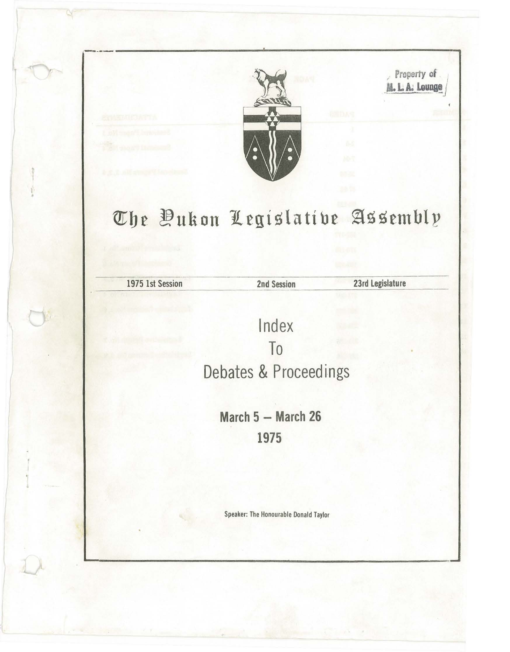

-----------------~----------------------

*n* Property of 11's **Property of 11's** 

## $\sigma$ he *Dukon* Legislative Assembly

de alle the 1975 1st Session<br>1975 1st Session<br>2nd Session

I •

23rd Legislature

Index To Debates & Proceedings

> **March 5 - March 26 1975**

Speaker: The Honourable Donald Taylor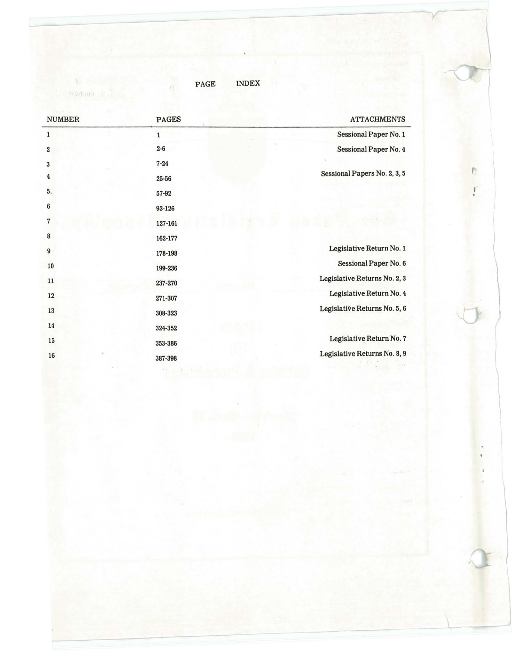$\chi$  . The state  $\chi$ 

PAGE INDEX

| <b>NUMBER</b>           | <b>PAGES</b> | <b>ATTACHMENTS</b>           |   |
|-------------------------|--------------|------------------------------|---|
| $\mathbf{1}$            | $\mathbf{1}$ | Sessional Paper No. 1        |   |
| $\overline{\mathbf{2}}$ | $2 - 6$      | Sessional Paper No. 4        |   |
| 3                       | $7 - 24$     |                              |   |
| 4                       | 25-56        | Sessional Papers No. 2, 3, 5 | O |
| 5.                      | 57-92        |                              |   |
| 6                       | 93-126       |                              |   |
| $\overline{7}$          | 127-161      |                              |   |
| 8                       | 162-177      |                              |   |
| 9                       | 178-198      | Legislative Return No. 1     |   |
| $10$                    | 199-236      | Sessional Paper No. 6        |   |
| $11\,$                  | 237-270      | Legislative Returns No. 2, 3 |   |
| $12\,$                  | 271-307      | Legislative Return No. 4     |   |
| 13                      | 308-323      | Legislative Returns No. 5, 6 |   |
| 14                      | 324-352      |                              |   |
| 15                      | 353-386      | Legislative Return No. 7     |   |
| 16                      | 387-398      | Legislative Returns No. 8, 9 |   |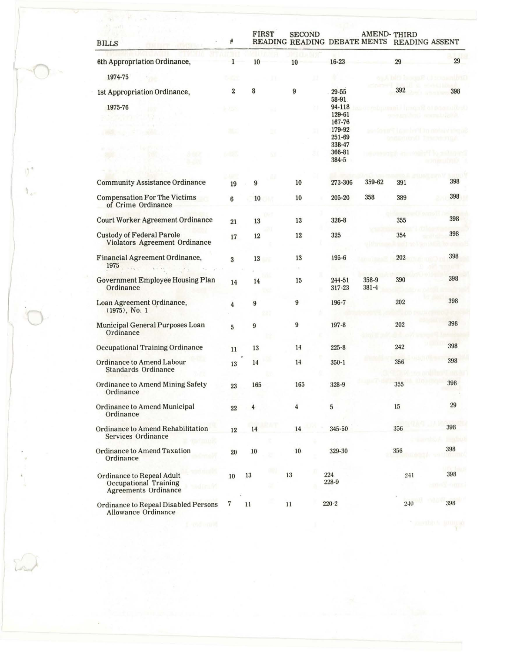| <b>BILLS</b>                                                                      | #                         | <b>FIRST</b>   | <b>SECOND</b>  | READING READING DEBATE MENTS READING ASSENT |                | <b>AMEND-THIRD</b> |     |
|-----------------------------------------------------------------------------------|---------------------------|----------------|----------------|---------------------------------------------|----------------|--------------------|-----|
| 6th Appropriation Ordinance,<br>1974-75                                           | 1                         | 10             | 10             | $16 - 23$                                   |                | 29                 | 29  |
| 1st Appropriation Ordinance,<br>1975-76                                           | $\boldsymbol{2}$<br>b-150 | 8              | 9              | $29 - 55$<br>58-91<br>94-118                |                | 392                | 398 |
|                                                                                   | 祗                         |                |                | 129-61<br>167-76<br>179-92<br>251-69        |                |                    |     |
|                                                                                   | at S                      |                |                | 338-47<br>366-81<br>384-5                   |                |                    |     |
| <b>Community Assistance Ordinance</b>                                             | 19                        | 9              | 10             | 273-306                                     | 359-62         | 391                | 398 |
| <b>Compensation For The Victims</b><br>of Crime Ordinance                         | 6                         | 10<br>ш        | 10             | 205-20                                      | 358            | 389                | 398 |
| <b>Court Worker Agreement Ordinance</b>                                           | 21                        | 13             | 13             | 326-8                                       |                | 355                | 398 |
| <b>Custody of Federal Parole</b><br>Violators Agreement Ordinance                 | $17\,$                    | 12             | 12             | 325                                         |                | 354                | 398 |
| Financial Agreement Ordinance,<br>1975                                            | 3                         | 13<br>сN       | 13             | 195-6                                       |                | 202                | 398 |
| <b>Government Employee Housing Plan</b><br>Ordinance                              | 14                        | 14             | 15             | 244-51<br>317-23                            | 358-9<br>381-4 | 390                | 398 |
| Loan Agreement Ordinance,<br>$(1975)$ , No. 1                                     | $\overline{4}$            | 9              | 9              | 196-7                                       |                | 202                | 398 |
| Municipal General Purposes Loan<br>Ordinance                                      | 5                         | 9              | $\bf{9}$       | 197-8                                       |                | 202                | 398 |
| <b>Occupational Training Ordinance</b>                                            | $11\,$                    | 13             | 14             | $225 - 8$                                   |                | 242                | 398 |
| <b>Ordinance to Amend Labour</b><br>Standards Ordinance                           | 13                        | 14             | 14             | $350 - 1$                                   |                | 356                | 398 |
| Ordinance to Amend Mining Safety<br>Ordinance                                     | 23                        | 165            | 165            | 328-9                                       |                | 355                | 398 |
| Ordinance to Amend Municipal<br>Ordinance                                         | $22\,$                    | $\overline{4}$ | $\overline{4}$ | $\bf 5$                                     |                | 15                 | 29  |
| Ordinance to Amend Rehabilitation<br>Services Ordinance                           | 12                        | 14             | 14             | 345-50                                      |                | 356                | 398 |
| <b>Ordinance to Amend Taxation</b><br>Ordinance                                   | $20\,$                    | $10\,$         | $10\,$         | 329-30                                      |                | 356                | 398 |
| Ordinance to Repeal Adult<br>Occupational Training<br><b>Agreements Ordinance</b> | 10                        | $13\,$         | 13             | 224<br>228-9                                |                | 241                | 398 |
| Ordinance to Repeal Disabled Persons<br><b>Allowance Ordinance</b>                | 7                         | 11             | 11             | $220 - 2$                                   |                | 240                | 398 |
| 1 - end maint                                                                     |                           |                |                |                                             |                |                    |     |

 $\hat{r}$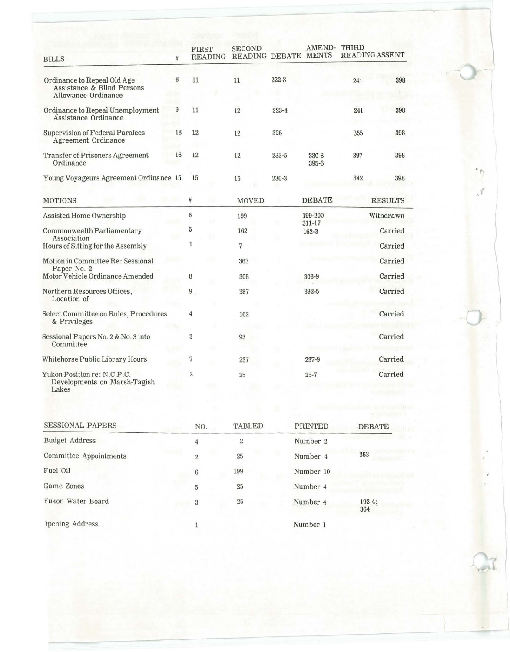| <b>BILLS</b>                                                                     | #      | <b>FIRST</b><br>READING | <b>SECOND</b><br>READING DEBATE MENTS |           | AMEND-              | THIRD | READING ASSENT |
|----------------------------------------------------------------------------------|--------|-------------------------|---------------------------------------|-----------|---------------------|-------|----------------|
| Ordinance to Repeal Old Age<br>Assistance & Blind Persons<br>Allowance Ordinance | 8      | 11                      | 11                                    | $222 - 3$ |                     | 241   | 398            |
| Ordinance to Repeal Unemployment<br>Assistance Ordinance                         | 9      | 11                      | 12                                    | $223 - 4$ |                     | 241   | 398            |
| <b>Supervision of Federal Parolees</b><br>Agreement Ordinance                    | 18     | 12                      | 12                                    | 326       |                     | 355   | 398            |
| <b>Transfer of Prisoners Agreement</b><br>Ordinance                              | 16     | 12                      | 12                                    | $233 - 5$ | 330-8<br>$395 - 6$  | 397   | 398            |
| Young Voyageurs Agreement Ordinance 15                                           |        | 15                      | 15                                    | $230 - 3$ |                     | 342   | 398            |
| <b>MOTIONS</b>                                                                   |        | #                       | <b>MOVED</b>                          |           | <b>DEBATE</b>       |       | <b>RESULTS</b> |
| Assisted Home Ownership                                                          |        | 6                       | 199                                   |           | 199-200             |       | Withdrawn      |
| Commonwealth Parliamentary                                                       |        | 5                       | 162                                   |           | 311-17<br>$162 - 3$ |       | Carried        |
| Association<br>Hours of Sitting for the Assembly                                 |        | $\mathbf{1}$            | 7                                     |           |                     |       | Carried        |
| Motion in Committee Re: Sessional                                                |        |                         | 363                                   |           |                     |       | Carried        |
| Paper No. 2<br>Motor Vehicle Ordinance Amended                                   |        | 8                       | 308                                   |           | 308-9               |       | Carried        |
| Northern Resources Offices,<br>Location of                                       |        | 9                       | 387                                   |           | $392 - 5$           |       | Carried        |
| Select Committee on Rules, Procedures<br>& Privileges                            | $-500$ | 4                       | 162                                   |           |                     |       | Carried        |
| Sessional Papers No. 2 & No. 3 into<br>Committee                                 |        | 3                       | 93                                    |           |                     |       | Carried        |
| Whitehorse Public Library Hours                                                  |        | 7                       | 237                                   |           | 237-9               |       | Carried        |
| Yukon Position re: N.C.P.C.<br>Developments on Marsh-Tagish<br>Lakes             |        | $\overline{2}$          | 25                                    |           | $25 - 7$            |       | Carried        |
|                                                                                  |        |                         |                                       |           |                     |       |                |
| <b>SESSIONAL PAPERS</b>                                                          |        | NO.                     | <b>TABLED</b>                         |           | <b>PRINTED</b>      |       | <b>DEBATE</b>  |
| Budget Address                                                                   |        | $\Lambda$               | $\mathcal{D}$                         |           | Number 9            |       |                |

• r

~

| SLSSIUNAL FAFLILS      | NO.            | TABLED         | PRINTED   | DEBATE          |
|------------------------|----------------|----------------|-----------|-----------------|
| <b>Budget Address</b>  | 4              | $\overline{2}$ | Number 2  |                 |
| Committee Appointments | $\overline{2}$ | 25             | Number 4  | 363             |
| Fuel Oil               | 6              | 199            | Number 10 |                 |
| Game Zones             | 5              | 25             | Number 4  |                 |
| Yukon Water Board      | 3              | 25             | Number 4  | $193-4;$<br>364 |
| )pening Address        |                |                | Number 1  |                 |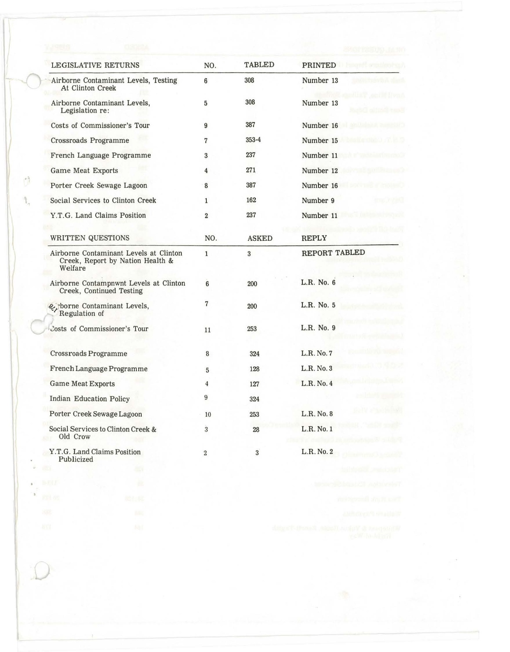| LEGISLATIVE RETURNS                                                                   | NO.            | <b>TABLED</b> | PRINTED       |
|---------------------------------------------------------------------------------------|----------------|---------------|---------------|
| Airborne Contaminant Levels, Testing<br>At Clinton Creek                              | 6              | 308           | Number 13     |
| Airborne Contaminant Levels,<br>Legislation re:                                       | 5              | 308           | Number 13     |
| Costs of Commissioner's Tour                                                          | 9              | 387           | Number 16     |
| <b>Crossroads Programme</b>                                                           | 7              | $353 - 4$     | Number 15     |
| French Language Programme                                                             | 3              | 237           | Number 11     |
| Game Meat Exports                                                                     | 4              | 271           | Number 12     |
| Porter Creek Sewage Lagoon                                                            | 8              | 387           | Number 16     |
| Social Services to Clinton Creek                                                      | $\mathbf{1}$   | 162           | Number 9      |
| Y.T.G. Land Claims Position                                                           | $\overline{2}$ | 237           | Number 11     |
| WRITTEN QUESTIONS                                                                     | NO.            | <b>ASKED</b>  | REPLY         |
| Airborne Contaminant Levels at Clinton<br>Creek, Report by Nation Health &<br>Welfare | $\mathbf{1}$   | 3             | REPORT TABLED |
| Airborne Contampnwnt Levels at Clinton<br>Creek, Continued Testing                    | 6              | 200           | L.R. No. 6    |
| & borne Contaminant Levels,<br>Regulation of                                          | $\overline{7}$ | 200           | L.R. No. 5    |
| Costs of Commissioner's Tour                                                          | 11             | 253           | L.R. No. 9    |
| Crossroads Programme                                                                  | 8              | 324           | L.R. No. 7    |
| French Language Programme                                                             | 5              | 128           | L.R. No. 3    |
| <b>Game Meat Exports</b>                                                              | $\overline{4}$ | 127           | L.R. No. 4    |
| <b>Indian Education Policy</b>                                                        | 9              | 324           |               |
| Porter Creek Sewage Lagoon                                                            | 10             | 253           | L.R. No. 8    |
| Social Services to Clinton Creek &<br>Old Crow                                        | 3              | 28            | L.R. No. 1    |
| Y.T.G. Land Claims Position<br>Publicized                                             | $\overline{2}$ | 3             | L.R. No. 2    |

 $\dot{\omega}$ 

 $\bar{b}$ 

 $\hat{U}$ 

 $\mathcal{V}_\mathbf{q}$ 

Ŷ.

 $\rightarrow$ 

 $\widetilde{\mathcal{D}}$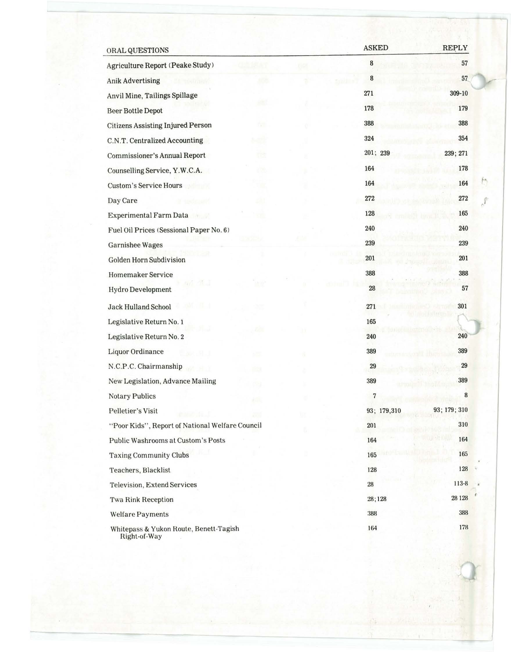| ORAL QUESTIONS                                         |    |    | <b>ASKED</b> | <b>REPLY</b> |
|--------------------------------------------------------|----|----|--------------|--------------|
| Agriculture Report (Peake Study)                       |    | 02 | 8            | 57           |
| <b>Anik Advertising</b>                                |    |    | 8            | 57           |
| Anvil Mine, Tailings Spillage                          |    |    | 271          | 309-10       |
| <b>Beer Bottle Depot</b>                               |    |    | 178          | 179          |
| <b>Citizens Assisting Injured Person</b>               | w  |    | 388          | 388          |
| C.N.T. Centralized Accounting                          |    |    | 324          | 354          |
| Commissioner's Annual Report                           | ma |    | 201; 239     | 239; 271     |
| Counselling Service, Y.W.C.A.                          |    |    | 164          | 178          |
| <b>Custom's Service Hours</b>                          |    |    | 164          | 164          |
| Day Care                                               |    |    | 272          | 272          |
| Experimental Farm Data                                 |    |    | 128          | 165          |
| Fuel Oil Prices (Sessional Paper No. 6)                |    |    | 240          | 240          |
| <b>Garnishee Wages</b>                                 |    |    | 239          | 239          |
| Golden Horn Subdivision                                |    |    | 201          | 201          |
| Homemaker Service                                      |    |    | 388          | 388          |
| Hydro Development                                      |    |    | 28           | 57           |
| <b>Jack Hulland School</b>                             |    |    | 271          | 301          |
| Legislative Return No. 1                               |    |    | 165          |              |
| Legislative Return No. 2                               |    |    | 240          | 240          |
| Liquor Ordinance                                       |    |    | 389          | 389          |
| N.C.P.C. Chairmanship                                  |    |    | 29           | 29           |
| New Legislation, Advance Mailing                       |    |    | 389          | 389          |
| <b>Notary Publics</b>                                  |    |    | 7            | 8            |
| Pelletier's Visit                                      |    |    | 93; 179,310  | 93; 179; 310 |
| "Poor Kids", Report of National Welfare Council        |    |    | 201          | 310          |
| Public Washrooms at Custom's Posts                     |    |    | 164          | 164          |
| <b>Taxing Community Clubs</b>                          |    |    | 165          | 165          |
| Teachers, Blacklist                                    |    |    | 128          | 128          |
| Television, Extend Services                            |    |    | 28           | 113-8        |
| <b>Twa Rink Reception</b>                              |    |    | 28;128       | 28 1 28      |
| <b>Welfare Payments</b>                                |    |    | 388          | 388          |
| Whitepass & Yukon Route, Benett-Tagish<br>Right-of-Way |    |    | 164          | 178          |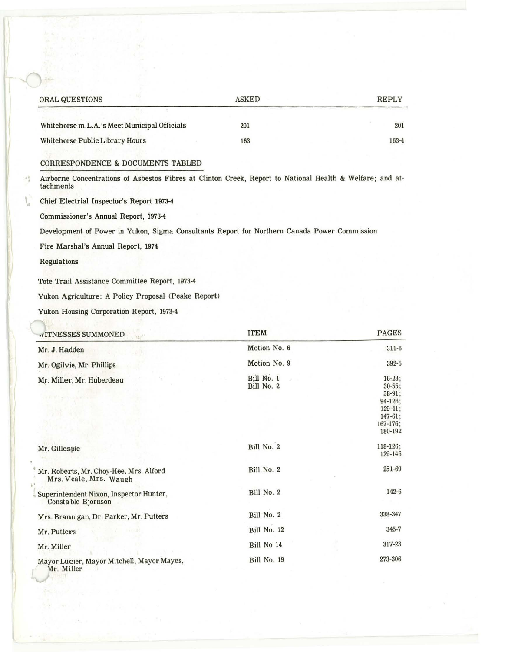| ORAL QUESTIONS                                                                                                         | <b>ASKED</b>    | <b>REPLY</b> |
|------------------------------------------------------------------------------------------------------------------------|-----------------|--------------|
| Whitehorse m.L.A.'s Meet Municipal Officials                                                                           | 201             | 201          |
| Whitehorse Public Library Hours                                                                                        | 163             | 163-4        |
| CORRESPONDENCE & DOCUMENTS TABLED                                                                                      |                 |              |
| Airborne Concentrations of Asbestos Fibres at Clinton Creek, Report to National Health & Welfare; and at-<br>tachments |                 |              |
| Chief Electrial Inspector's Report 1973-4                                                                              |                 |              |
| Commissioner's Annual Report, 1973-4                                                                                   |                 |              |
| Development of Power in Yukon, Sigma Consultants Report for Northern Canada Power Commission                           |                 |              |
| Fire Marshal's Annual Report, 1974                                                                                     |                 |              |
| Regulations                                                                                                            |                 |              |
| Tote Trail Assistance Committee Report, 1973-4                                                                         |                 |              |
| Yukon Agriculture: A Policy Proposal (Peake Report)                                                                    |                 |              |
| Yukon Housing Corporation Report, 1973-4                                                                               |                 |              |
| to concern the characters are as an an or widow was                                                                    | <b>TITLE AF</b> | <b>DACEC</b> |

| <b>WITNESSES SUMMONED</b><br>Mir."                               | <b>ITEM</b>              | <b>PAGES</b>                                                          |
|------------------------------------------------------------------|--------------------------|-----------------------------------------------------------------------|
| Mr. J. Hadden                                                    | Motion No. 6             | $311 - 6$                                                             |
| Mr. Ogilvie, Mr. Phillips                                        | Motion No. 9             | 392-5                                                                 |
| Mr. Miller, Mr. Huberdeau                                        | Bill No. 1<br>Bill No. 2 | $16 - 23$ ;<br>$30 - 55$ ;<br>$58-91$ ;                               |
|                                                                  |                          | $94-126$ ;<br>$129 - 41$ ;<br>$147 - 61;$<br>$167 - 176$ ;<br>180-192 |
| Mr. Gillespie                                                    | Bill No. 2               | 118-126;<br>129-146                                                   |
| Mr. Roberts, Mr. Choy-Hee, Mrs. Alford<br>Mrs. Veale, Mrs. Waugh | Bill No. 2               | 251-69                                                                |
| Superintendent Nixon, Inspector Hunter,<br>Constable Bjornson    | Bill No. 2               | 142-6                                                                 |
| Mrs. Brannigan, Dr. Parker, Mr. Putters                          | Bill No. 2               | 338-347                                                               |
| Mr. Putters                                                      | Bill No. 12              | $345 - 7$                                                             |
| Mr. Miller                                                       | Bill No 14               | 317-23                                                                |
| Mayor Lucier, Mayor Mitchell, Mayor Mayes,<br>Mr. Miller         | Bill No. 19              | 273-306                                                               |
|                                                                  |                          |                                                                       |

الجاز